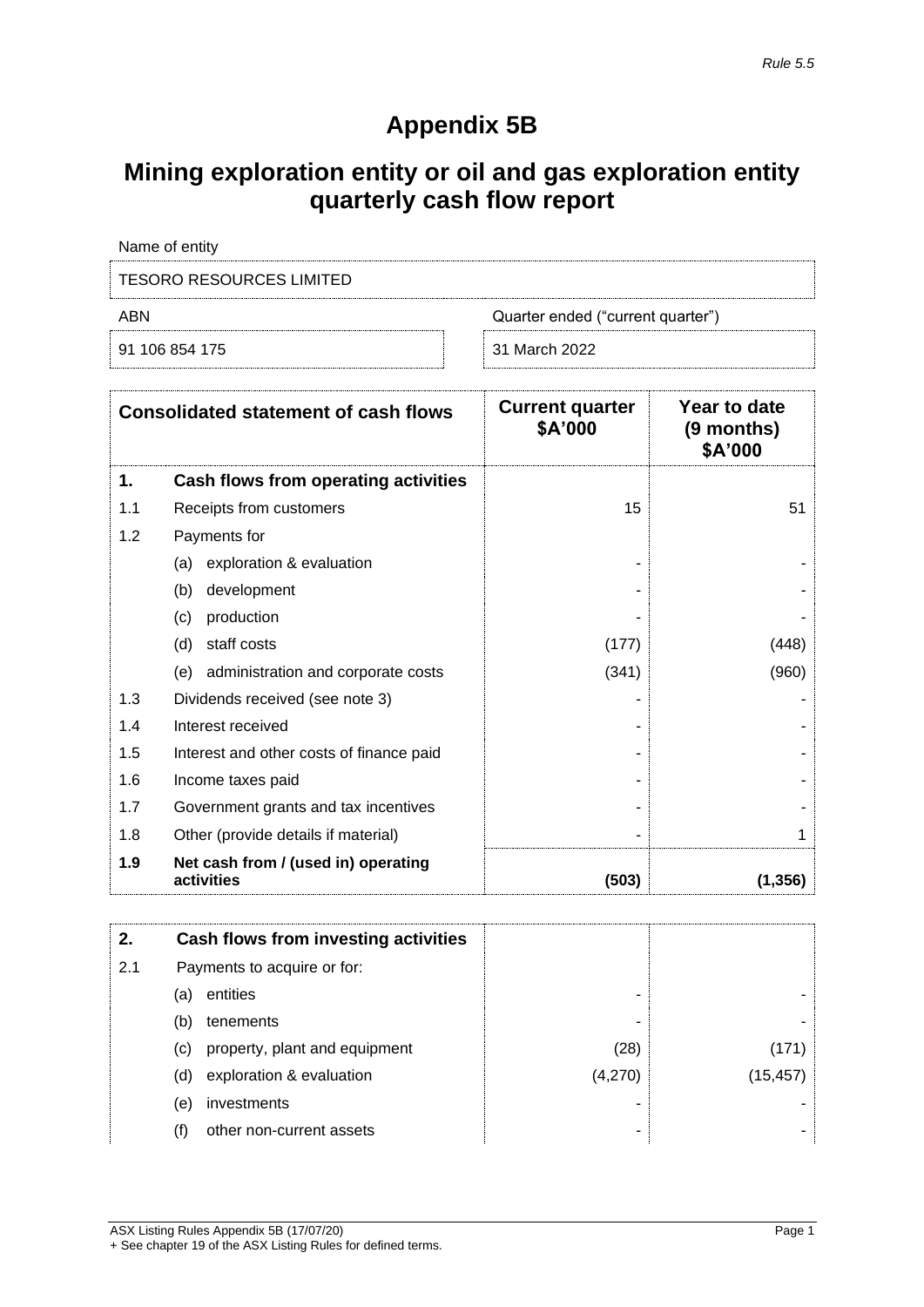## **Appendix 5B**

## **Mining exploration entity or oil and gas exploration entity quarterly cash flow report**

| Name of entity           |                                   |  |
|--------------------------|-----------------------------------|--|
| TESORO RESOURCES LIMITED |                                   |  |
| ABN                      | Quarter ended ("current quarter") |  |
| 91 106 854 175           | 31 March 2022                     |  |

| <b>Consolidated statement of cash flows</b> |                                                   | <b>Current quarter</b><br>\$A'000 | Year to date<br>(9 months)<br>\$A'000 |
|---------------------------------------------|---------------------------------------------------|-----------------------------------|---------------------------------------|
| 1.                                          | Cash flows from operating activities              |                                   |                                       |
| 1.1                                         | Receipts from customers                           | 15                                | 51                                    |
| 1.2                                         | Payments for                                      |                                   |                                       |
|                                             | exploration & evaluation<br>(a)                   |                                   |                                       |
|                                             | development<br>(b)                                |                                   |                                       |
|                                             | production<br>(c)                                 |                                   |                                       |
|                                             | staff costs<br>(d)                                | (177)                             | (448)                                 |
|                                             | (e) administration and corporate costs            | (341)                             | (960)                                 |
| 1.3                                         | Dividends received (see note 3)                   |                                   |                                       |
| 1.4                                         | Interest received                                 |                                   |                                       |
| 1.5                                         | Interest and other costs of finance paid          |                                   |                                       |
| 1.6                                         | Income taxes paid                                 |                                   |                                       |
| 1.7                                         | Government grants and tax incentives              |                                   |                                       |
| 1.8                                         | Other (provide details if material)               |                                   |                                       |
| 1.9                                         | Net cash from / (used in) operating<br>activities | (503)                             | (1, 356)                              |

| 2.  |                            | Cash flows from investing activities |         |           |
|-----|----------------------------|--------------------------------------|---------|-----------|
| 2.1 |                            | Payments to acquire or for:          |         |           |
|     | (a)                        | entities                             | -       |           |
|     | (b)                        | tenements                            | -       |           |
|     | $\left( \mathrm{c}\right)$ | property, plant and equipment        | (28)    | (171)     |
|     | (d)                        | exploration & evaluation             | (4,270) | (15, 457) |
|     | (e)                        | investments                          | -       |           |
|     |                            | other non-current assets             | ۰       |           |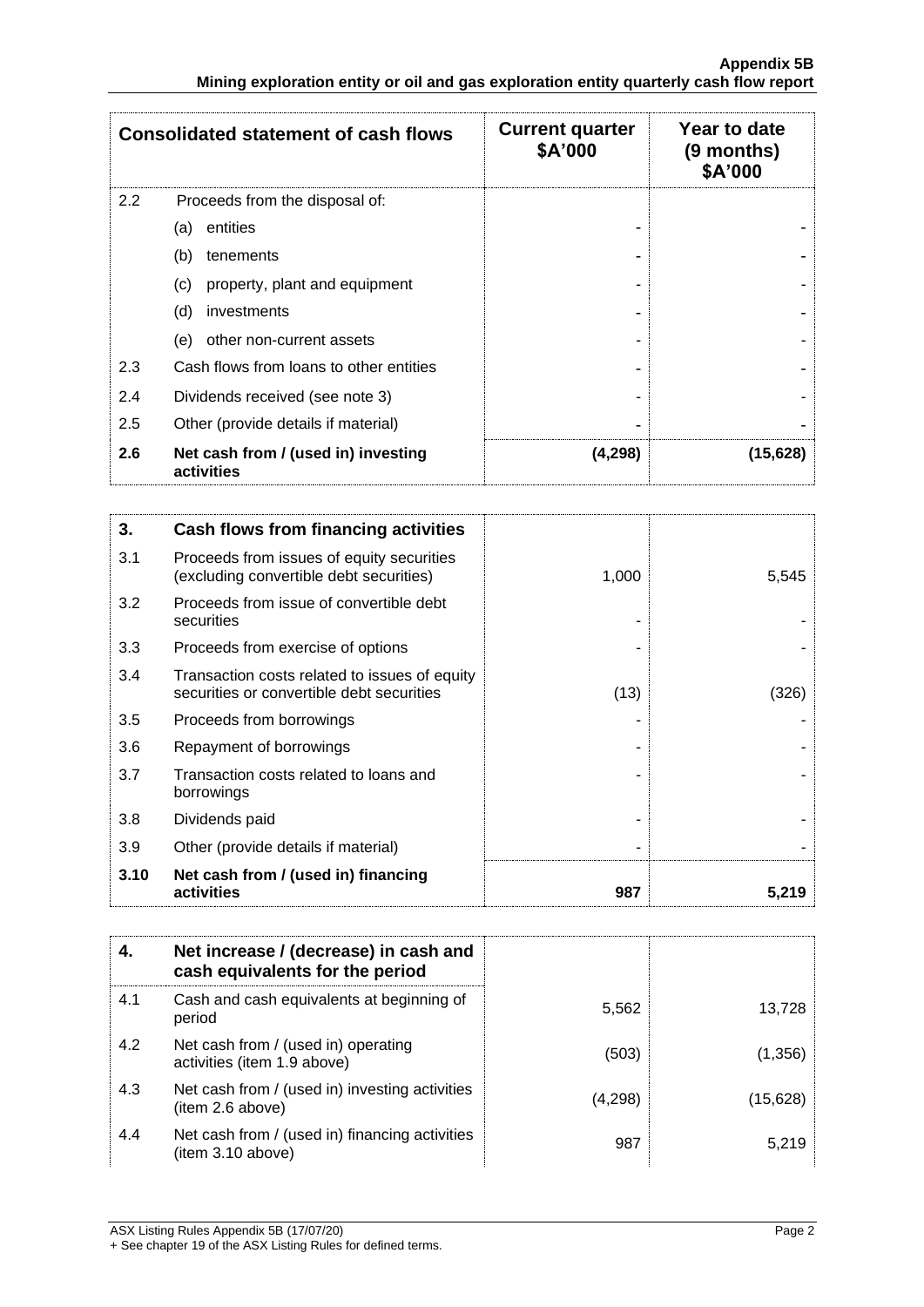|     | <b>Consolidated statement of cash flows</b>       | <b>Current quarter</b><br>\$A'000 | Year to date<br>$(9$ months)<br>\$A'000 |
|-----|---------------------------------------------------|-----------------------------------|-----------------------------------------|
| 2.2 | Proceeds from the disposal of:                    |                                   |                                         |
|     | entities<br>(a)                                   |                                   |                                         |
|     | (b)<br>tenements                                  |                                   |                                         |
|     | property, plant and equipment<br>(c)              |                                   |                                         |
|     | (d)<br>investments                                |                                   |                                         |
|     | other non-current assets<br>(e)                   |                                   |                                         |
| 2.3 | Cash flows from loans to other entities           |                                   |                                         |
| 2.4 | Dividends received (see note 3)                   |                                   |                                         |
| 2.5 | Other (provide details if material)               |                                   |                                         |
| 2.6 | Net cash from / (used in) investing<br>activities | (4,298)                           | (15, 628)                               |

| 3.   | Cash flows from financing activities                                                       |       |       |
|------|--------------------------------------------------------------------------------------------|-------|-------|
| 3.1  | Proceeds from issues of equity securities<br>(excluding convertible debt securities)       | 1,000 | 5,545 |
| 3.2  | Proceeds from issue of convertible debt<br>securities                                      |       |       |
| 3.3  | Proceeds from exercise of options                                                          |       |       |
| 3.4  | Transaction costs related to issues of equity<br>securities or convertible debt securities | (13)  | (326) |
| 3.5  | Proceeds from borrowings                                                                   |       |       |
| 3.6  | Repayment of borrowings                                                                    |       |       |
| 3.7  | Transaction costs related to loans and<br>borrowings                                       |       |       |
| 3.8  | Dividends paid                                                                             |       |       |
| 3.9  | Other (provide details if material)                                                        |       |       |
| 3.10 | Net cash from / (used in) financing<br>activities                                          | 987   | 5,219 |

| 4.  | Net increase / (decrease) in cash and<br>cash equivalents for the period |         |           |
|-----|--------------------------------------------------------------------------|---------|-----------|
| 4.1 | Cash and cash equivalents at beginning of<br>period                      | 5,562   | 13.728    |
| 4.2 | Net cash from / (used in) operating<br>activities (item 1.9 above)       | (503)   | (1,356)   |
| 4.3 | Net cash from / (used in) investing activities<br>(item 2.6 above)       | (4,298) | (15, 628) |
| 4.4 | Net cash from / (used in) financing activities<br>(item 3.10 above)      | 987     | 5,219     |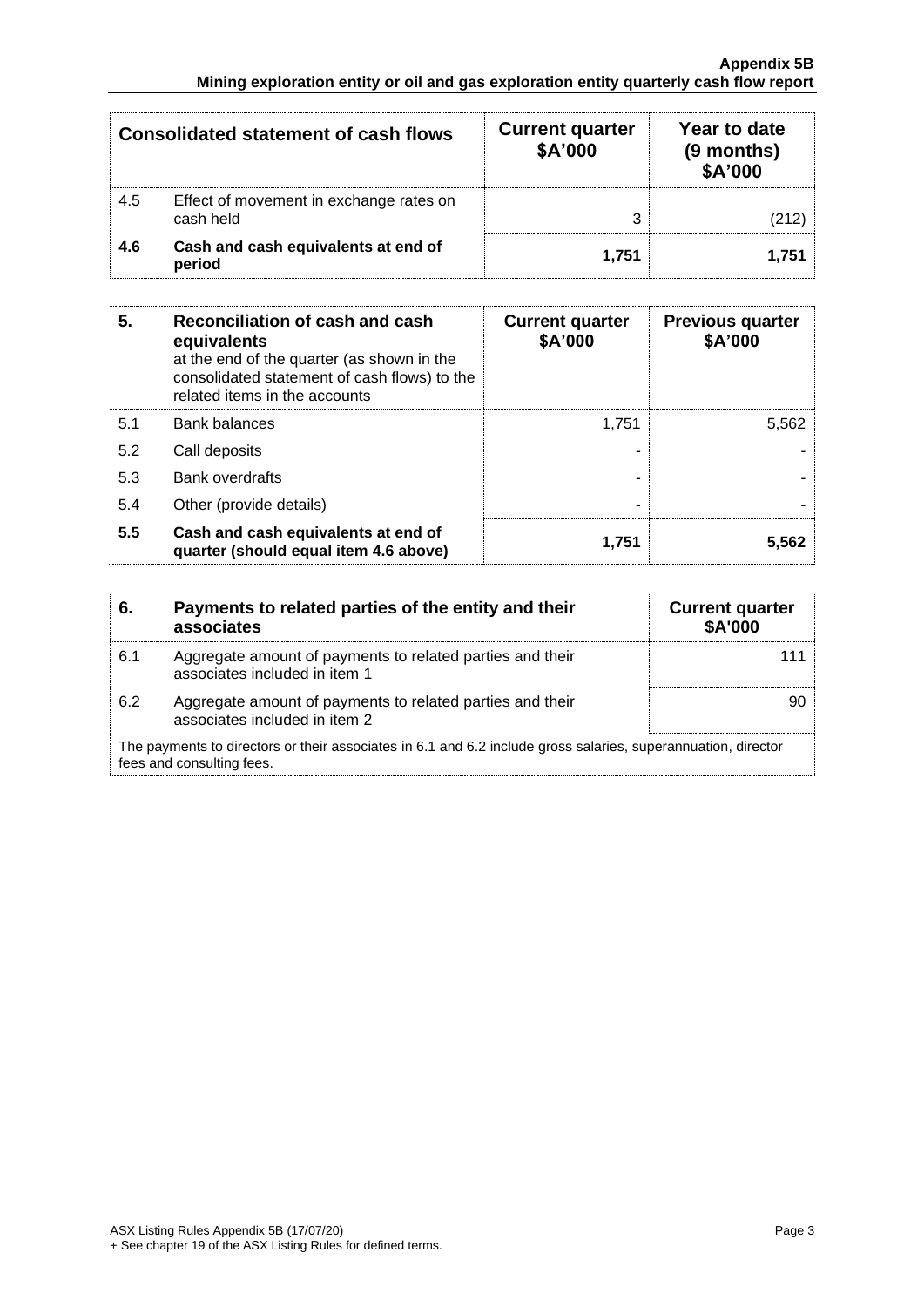| <b>Consolidated statement of cash flows</b> |                                                      | <b>Current quarter</b><br>\$A'000 | Year to date<br>(9 months)<br>\$A'000 |
|---------------------------------------------|------------------------------------------------------|-----------------------------------|---------------------------------------|
| 4.5                                         | Effect of movement in exchange rates on<br>cash held |                                   |                                       |
| 4.6                                         | Cash and cash equivalents at end of<br>period        | 1.751                             | 1.751                                 |

| 5.  | Reconciliation of cash and cash<br>equivalents<br>at the end of the quarter (as shown in the<br>consolidated statement of cash flows) to the<br>related items in the accounts | <b>Current quarter</b><br>\$A'000 | <b>Previous quarter</b><br>\$A'000 |
|-----|-------------------------------------------------------------------------------------------------------------------------------------------------------------------------------|-----------------------------------|------------------------------------|
| 5.1 | <b>Bank balances</b>                                                                                                                                                          | 1.751                             | 5,562                              |
| 5.2 | Call deposits                                                                                                                                                                 |                                   |                                    |
| 5.3 | Bank overdrafts                                                                                                                                                               |                                   |                                    |
| 5.4 | Other (provide details)                                                                                                                                                       | -                                 |                                    |
| 5.5 | Cash and cash equivalents at end of<br>quarter (should equal item 4.6 above)                                                                                                  | 1,751                             | 5,562                              |

| 6.  | Payments to related parties of the entity and their<br>associates                                                                          | <b>Current quarter</b><br><b>\$A'000</b> |
|-----|--------------------------------------------------------------------------------------------------------------------------------------------|------------------------------------------|
| 6.1 | Aggregate amount of payments to related parties and their<br>associates included in item 1                                                 |                                          |
| 6.2 | Aggregate amount of payments to related parties and their<br>associates included in item 2                                                 | 90                                       |
|     | The payments to directors or their associates in 6.1 and 6.2 include gross salaries, superannuation, director<br>fees and consulting fees. |                                          |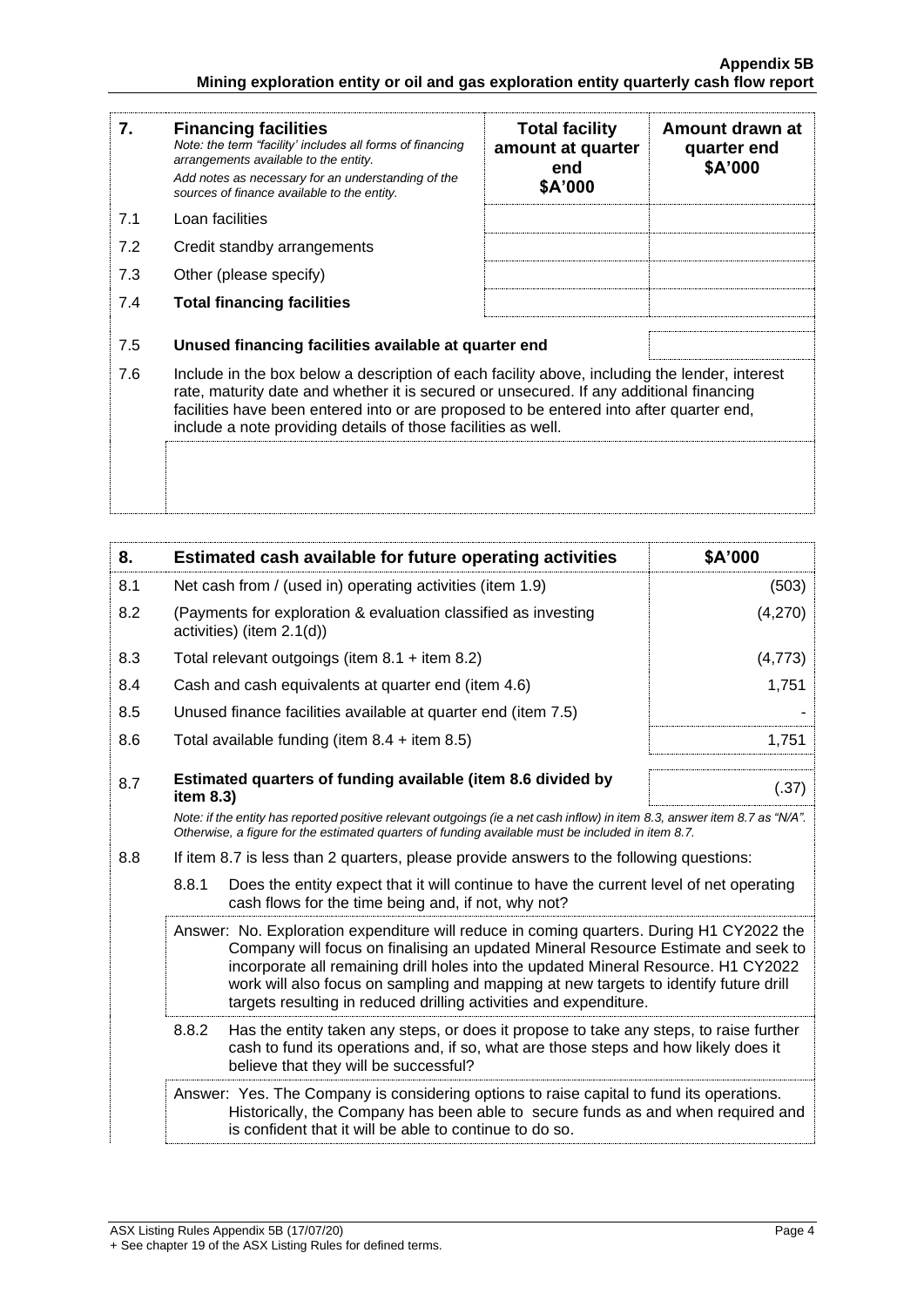| 7.  | <b>Financing facilities</b><br>Note: the term "facility' includes all forms of financing<br>arrangements available to the entity.<br>Add notes as necessary for an understanding of the<br>sources of finance available to the entity.                                                                                                               | <b>Total facility</b><br>amount at quarter<br>end<br>\$A'000 | Amount drawn at<br>quarter end<br>\$A'000 |
|-----|------------------------------------------------------------------------------------------------------------------------------------------------------------------------------------------------------------------------------------------------------------------------------------------------------------------------------------------------------|--------------------------------------------------------------|-------------------------------------------|
| 7.1 | Loan facilities                                                                                                                                                                                                                                                                                                                                      |                                                              |                                           |
| 7.2 | Credit standby arrangements                                                                                                                                                                                                                                                                                                                          |                                                              |                                           |
| 7.3 | Other (please specify)                                                                                                                                                                                                                                                                                                                               |                                                              |                                           |
| 7.4 | <b>Total financing facilities</b>                                                                                                                                                                                                                                                                                                                    |                                                              |                                           |
| 7.5 | Unused financing facilities available at quarter end                                                                                                                                                                                                                                                                                                 |                                                              |                                           |
| 7.6 | Include in the box below a description of each facility above, including the lender, interest<br>rate, maturity date and whether it is secured or unsecured. If any additional financing<br>facilities have been entered into or are proposed to be entered into after quarter end,<br>include a note providing details of those facilities as well. |                                                              |                                           |
|     |                                                                                                                                                                                                                                                                                                                                                      |                                                              |                                           |

| 8.  | Estimated cash available for future operating activities                                                                                                                                                                                                                                                                                                                                                                         | \$A'000 |
|-----|----------------------------------------------------------------------------------------------------------------------------------------------------------------------------------------------------------------------------------------------------------------------------------------------------------------------------------------------------------------------------------------------------------------------------------|---------|
| 8.1 | Net cash from / (used in) operating activities (item 1.9)                                                                                                                                                                                                                                                                                                                                                                        | (503)   |
| 8.2 | (Payments for exploration & evaluation classified as investing<br>activities) (item 2.1(d))                                                                                                                                                                                                                                                                                                                                      | (4,270) |
| 8.3 | Total relevant outgoings (item $8.1 +$ item $8.2$ )                                                                                                                                                                                                                                                                                                                                                                              | (4,773) |
| 8.4 | Cash and cash equivalents at quarter end (item 4.6)                                                                                                                                                                                                                                                                                                                                                                              | 1,751   |
| 8.5 | Unused finance facilities available at quarter end (item 7.5)                                                                                                                                                                                                                                                                                                                                                                    |         |
| 8.6 | Total available funding (item $8.4 +$ item $8.5$ )                                                                                                                                                                                                                                                                                                                                                                               | 1,751   |
| 8.7 | Estimated quarters of funding available (item 8.6 divided by<br>item 8.3)                                                                                                                                                                                                                                                                                                                                                        | (.37)   |
|     | Note: if the entity has reported positive relevant outgoings (ie a net cash inflow) in item 8.3, answer item 8.7 as "N/A".<br>Otherwise, a figure for the estimated quarters of funding available must be included in item 8.7.                                                                                                                                                                                                  |         |
| 8.8 | If item 8.7 is less than 2 quarters, please provide answers to the following questions:                                                                                                                                                                                                                                                                                                                                          |         |
|     | 8.8.1<br>Does the entity expect that it will continue to have the current level of net operating<br>cash flows for the time being and, if not, why not?                                                                                                                                                                                                                                                                          |         |
|     | Answer: No. Exploration expenditure will reduce in coming quarters. During H1 CY2022 the<br>Company will focus on finalising an updated Mineral Resource Estimate and seek to<br>incorporate all remaining drill holes into the updated Mineral Resource. H1 CY2022<br>work will also focus on sampling and mapping at new targets to identify future drill<br>targets resulting in reduced drilling activities and expenditure. |         |
|     | 8.8.2<br>Has the entity taken any steps, or does it propose to take any steps, to raise further<br>cash to fund its operations and, if so, what are those steps and how likely does it<br>believe that they will be successful?                                                                                                                                                                                                  |         |
|     | Answer: Yes. The Company is considering options to raise capital to fund its operations.<br>Historically, the Company has been able to secure funds as and when required and<br>is confident that it will be able to continue to do so.                                                                                                                                                                                          |         |